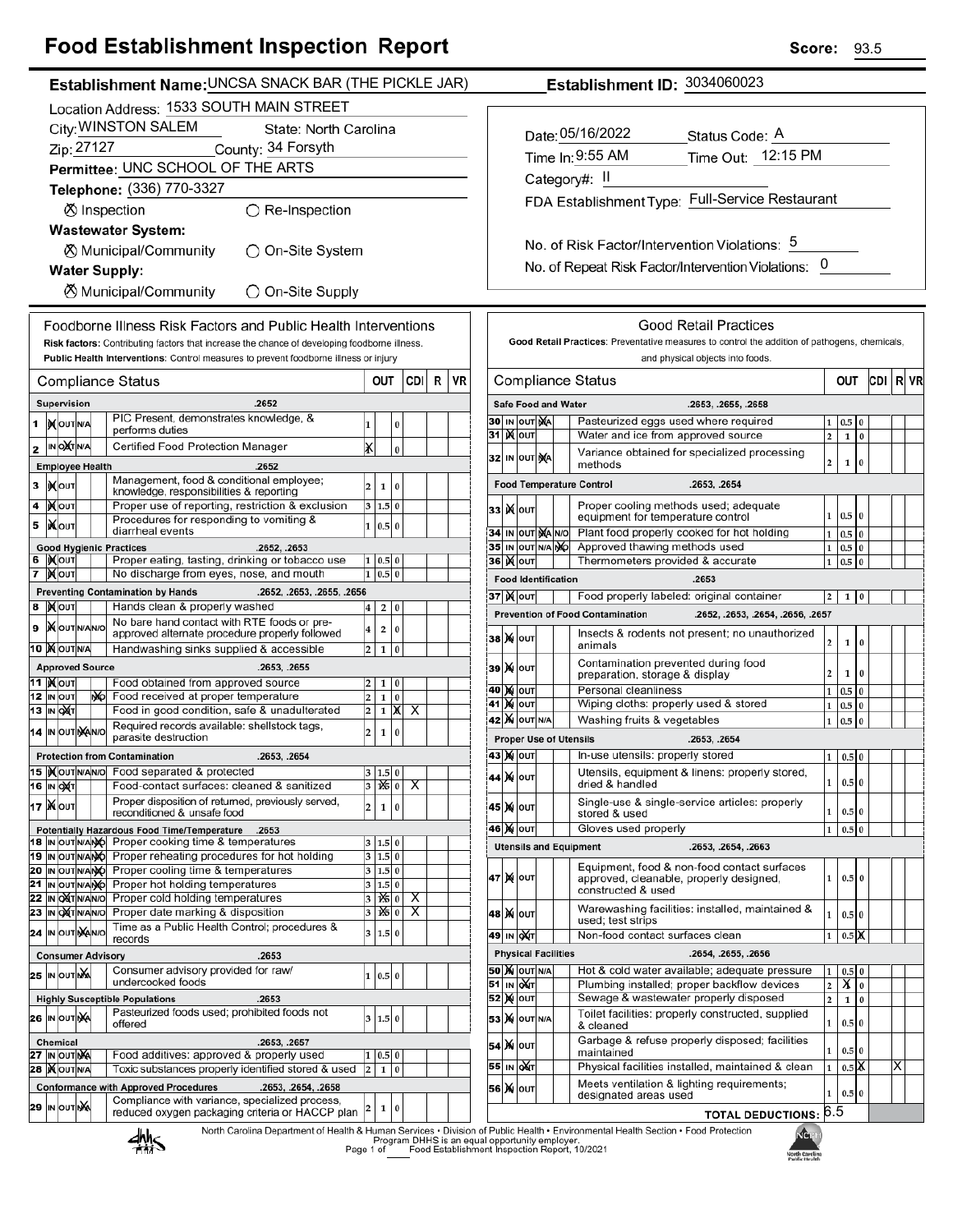#### ood Establishment Inspection, Report Е,

| <b>Food Establishment inspection Report</b>                                                                                                                                              | Score:<br>93.5                                                                                                                                                                          |  |  |  |  |  |
|------------------------------------------------------------------------------------------------------------------------------------------------------------------------------------------|-----------------------------------------------------------------------------------------------------------------------------------------------------------------------------------------|--|--|--|--|--|
| Establishment Name: UNCSA SNACK BAR (THE PICKLE JAR)                                                                                                                                     | Establishment ID: 3034060023                                                                                                                                                            |  |  |  |  |  |
| Location Address: 1533 SOUTH MAIN STREET                                                                                                                                                 |                                                                                                                                                                                         |  |  |  |  |  |
| City: WINSTON SALEM<br>State: North Carolina                                                                                                                                             |                                                                                                                                                                                         |  |  |  |  |  |
| Zip: 27127<br>County: 34 Forsyth                                                                                                                                                         | Date: 05/16/2022<br>Status Code: A                                                                                                                                                      |  |  |  |  |  |
| Permittee: UNC SCHOOL OF THE ARTS                                                                                                                                                        | Time Out: 12:15 PM<br>Time In: 9:55 AM                                                                                                                                                  |  |  |  |  |  |
| Telephone: (336) 770-3327                                                                                                                                                                | Category#: II                                                                                                                                                                           |  |  |  |  |  |
|                                                                                                                                                                                          | FDA Establishment Type: Full-Service Restaurant                                                                                                                                         |  |  |  |  |  |
| ⊗ Inspection<br>$\bigcirc$ Re-Inspection                                                                                                                                                 |                                                                                                                                                                                         |  |  |  |  |  |
| <b>Wastewater System:</b>                                                                                                                                                                |                                                                                                                                                                                         |  |  |  |  |  |
| ○ On-Site System<br>⊗ Municipal/Community                                                                                                                                                | No. of Risk Factor/Intervention Violations: 5                                                                                                                                           |  |  |  |  |  |
| <b>Water Supply:</b>                                                                                                                                                                     | No. of Repeat Risk Factor/Intervention Violations: 0                                                                                                                                    |  |  |  |  |  |
| <b><math>\oslash</math> Municipal/Community</b><br>◯ On-Site Supply                                                                                                                      |                                                                                                                                                                                         |  |  |  |  |  |
| Foodborne Illness Risk Factors and Public Health Interventions                                                                                                                           | <b>Good Retail Practices</b>                                                                                                                                                            |  |  |  |  |  |
| Risk factors: Contributing factors that increase the chance of developing foodborne illness.                                                                                             | Good Retail Practices: Preventative measures to control the addition of pathogens, chemicals,                                                                                           |  |  |  |  |  |
| Public Health Interventions: Control measures to prevent foodborne illness or injury                                                                                                     | and physical objects into foods.                                                                                                                                                        |  |  |  |  |  |
| OUT<br><b>CDI</b><br>R<br>VR<br>Compliance Status                                                                                                                                        | CDI R VR<br><b>Compliance Status</b><br>OUT                                                                                                                                             |  |  |  |  |  |
| Supervision<br>.2652                                                                                                                                                                     | <b>Safe Food and Water</b><br>.2653, .2655, .2658                                                                                                                                       |  |  |  |  |  |
| PIC Present, demonstrates knowledge, &<br>1 XOUTNA<br>1<br>0                                                                                                                             | Pasteurized eggs used where required<br>30 IN OUT MA<br>$0.5\,$ 0<br>1                                                                                                                  |  |  |  |  |  |
| performs duties<br>X<br>IN O <b>X</b> TNA<br>Certified Food Protection Manager                                                                                                           | <b>31 )(OUT</b><br>$1\ 0$<br>Water and ice from approved source<br>$\overline{2}$                                                                                                       |  |  |  |  |  |
| 2<br>$\bf{0}$                                                                                                                                                                            | Variance obtained for specialized processing<br>32 IN OUT NA<br>$\overline{2}$<br>$\mathbf 1$<br>0<br>methods                                                                           |  |  |  |  |  |
| <b>Employee Health</b><br>.2652<br>Management, food & conditional employee;                                                                                                              |                                                                                                                                                                                         |  |  |  |  |  |
| 3   Молт<br>$\overline{2}$<br>$\mathbf{1}$<br>10<br>knowledge, responsibilities & reporting                                                                                              | <b>Food Temperature Control</b><br>.2653, .2654                                                                                                                                         |  |  |  |  |  |
| Proper use of reporting, restriction & exclusion<br>$4$ <b>X</b> OUT<br>3   1.5   0  <br>Procedures for responding to vomiting &                                                         | Proper cooling methods used; adequate<br>33   <b>)</b> ( ouт<br>$1 \ 0.5 \ 0$<br>equipment for temperature control                                                                      |  |  |  |  |  |
| <b>XOUT</b><br>5<br>1 0.5 0<br>diarrheal events                                                                                                                                          | Plant food properly cooked for hot holding<br>34 IN OUT MA NO<br>$0.5\quad0$<br>$\mathbf{1}$                                                                                            |  |  |  |  |  |
| <b>Good Hygienic Practices</b><br>.2652, .2653                                                                                                                                           | 35 IN OUT N/A NO<br>Approved thawing methods used<br>$0.5\quad0$<br>1                                                                                                                   |  |  |  |  |  |
| 6  Kout<br>Proper eating, tasting, drinking or tobacco use<br>1   0.5   0  <br>7 Mout<br>No discharge from eyes, nose, and mouth<br>1 0.5 0                                              | <b>36 )(out</b><br>Thermometers provided & accurate<br>$0.5\, \,0$<br>1                                                                                                                 |  |  |  |  |  |
| <b>Preventing Contamination by Hands</b><br>.2652, .2653, .2655, .2656                                                                                                                   | <b>Food Identification</b><br>.2653                                                                                                                                                     |  |  |  |  |  |
| 8 MOUT<br>Hands clean & properly washed<br>2 0<br>$\bf{4}$                                                                                                                               | <b>37   М</b> олт<br>Food properly labeled: original container<br>2 <sup>1</sup><br>1 0                                                                                                 |  |  |  |  |  |
| No bare hand contact with RTE foods or pre-<br>9   OUT N/AN/O<br>$\overline{\mathbf{4}}$<br>$\mathbf 2$<br>10 I                                                                          | <b>Prevention of Food Contamination</b><br>.2652, .2653, .2654, .2656, .2657                                                                                                            |  |  |  |  |  |
| approved alternate procedure properly followed<br>10   OUTNA<br>Handwashing sinks supplied & accessible<br>$2 \mid 1 \mid 0 \mid$                                                        | Insects & rodents not present; no unauthorized<br>38 X 0UT<br>$\mathbf{2}$<br>1<br>$\bf{0}$<br>animals                                                                                  |  |  |  |  |  |
| <b>Approved Source</b><br>.2653, .2655                                                                                                                                                   | Contamination prevented during food<br>39 X OUT                                                                                                                                         |  |  |  |  |  |
| <b>11   Молт</b><br>Food obtained from approved source<br>$\overline{2}$<br>1 0                                                                                                          | $\mathbf{2}$<br>$1 \vert 0$<br>preparation, storage & display                                                                                                                           |  |  |  |  |  |
| 12 IN OUT<br>Food received at proper temperature<br>N <sub>D</sub><br>$\overline{\mathbf{c}}$<br>$\mathbf 1$<br>l o l                                                                    | 40 M OUT<br>Personal cleanliness<br>$1 \vert 0.5 \vert 0$<br>41 Nout<br>Wiping cloths: properly used & stored<br>$1\quad 0.5\quad 0$                                                    |  |  |  |  |  |
| Food in good condition, safe & unadulterated<br>$\overline{2}$<br><b>13 IN OXT</b><br>$1 \mid X \mid X$                                                                                  | <b>42 X OUT N/A</b><br>$0.5\,$ 0<br>Washing fruits & vegetables<br>$1\vert$                                                                                                             |  |  |  |  |  |
| Required records available: shellstock tags,<br>14 IN OUT NANO<br>$\overline{\mathbf{c}}$<br>$\mathbf 1$<br>l 0<br>parasite destruction<br><b>Proper Use of Utensils</b><br>.2653, .2654 |                                                                                                                                                                                         |  |  |  |  |  |
| <b>Protection from Contamination</b><br>.2653, .2654                                                                                                                                     | <b>43 X OUT</b><br>In-use utensils: properly stored<br>$0.5\vert 0$<br>1                                                                                                                |  |  |  |  |  |
| 15   Nout N/A N/O Food separated & protected<br>3   1.5   0                                                                                                                              | Utensils, equipment & linens: properly stored,<br>44 X OUT                                                                                                                              |  |  |  |  |  |
| 1% 0<br>16 IN OXT<br>Food-contact surfaces: cleaned & sanitized<br>Х<br>3 <sup>1</sup>                                                                                                   | $0.5\,0$<br>$1\vert$<br>dried & handled                                                                                                                                                 |  |  |  |  |  |
| Proper disposition of returned, previously served,<br>17   NOUT<br>1 0<br>$\overline{\mathbf{c}}$<br>reconditioned & unsafe food                                                         | Single-use & single-service articles: properly<br>45 X OUT<br>$0.5$ 0<br>$\mathbf{1}$<br>stored & used                                                                                  |  |  |  |  |  |
| Potentially Hazardous Food Time/Temperature .2653                                                                                                                                        | Gloves used properly<br>46 X OUT<br>$0.5\vert 0$<br>$\mathbf 1$                                                                                                                         |  |  |  |  |  |
| 18 IN OUT N/ANO Proper cooking time & temperatures<br>3   1.5   0<br>19 IN OUT N/ANG Proper reheating procedures for hot holding<br>3 1.5 0                                              | <b>Utensils and Equipment</b><br>.2653, .2654, .2663                                                                                                                                    |  |  |  |  |  |
| 20 IN OUT NANO Proper cooling time & temperatures<br>3   1.5   0                                                                                                                         | Equipment, food & non-food contact surfaces                                                                                                                                             |  |  |  |  |  |
| 21<br>Proper hot holding temperatures<br>IN OUT N/ANO<br>3 1.5 0                                                                                                                         | 47 MOUT<br>$\mathbf{1}$<br>$0.5\vert 0$<br>approved, cleanable, properly designed,<br>constructed & used                                                                                |  |  |  |  |  |
| IN ONTINANIO Proper cold holding temperatures<br>22<br>$\frac{1}{6}$ 0<br>X<br>3<br>Proper date marking & disposition<br>23 IN OXT N/AN/O                                                | Warewashing facilities: installed, maintained &                                                                                                                                         |  |  |  |  |  |
| 160<br>$\overline{\mathsf{x}}$<br>3<br>Time as a Public Health Control; procedures &<br>24 IN OUT MANO<br>3   1.5   0                                                                    | 48 X OUT<br>0.5 0<br>1<br>used; test strips                                                                                                                                             |  |  |  |  |  |
| records                                                                                                                                                                                  | Non-food contact surfaces clean<br>0.5 <sup>o</sup><br>49 IN OXT<br>$\mathbf 1$                                                                                                         |  |  |  |  |  |
| <b>Consumer Advisory</b><br>.2653                                                                                                                                                        | <b>Physical Facilities</b><br>.2654, .2655, .2656                                                                                                                                       |  |  |  |  |  |
| Consumer advisory provided for raw/<br><b>25 IN OUT NA</b><br>1   0.5   0  <br>undercooked foods                                                                                         | <b>50 X OUT N/A</b><br>Hot & cold water available; adequate pressure<br>$0.5\vert 0$<br>1<br>51 IN OUT<br>X <sub>0</sub><br>Plumbing installed; proper backflow devices<br>$\mathbf{2}$ |  |  |  |  |  |
| <b>Highly Susceptible Populations</b><br>.2653                                                                                                                                           | $52$ $\overline{\text{M}}$ out<br>Sewage & wastewater properly disposed<br>$\overline{2}$<br>$1\,0$                                                                                     |  |  |  |  |  |
| Pasteurized foods used; prohibited foods not<br>26 IN OUT NA<br>3   1.5   0<br>offered                                                                                                   | Toilet facilities: properly constructed, supplied<br><b>53 X</b> OUT N/A<br>$1 \vert$<br>$0.5\vert 0$<br>& cleaned                                                                      |  |  |  |  |  |
| Chemical<br>.2653, .2657                                                                                                                                                                 | Garbage & refuse properly disposed; facilities                                                                                                                                          |  |  |  |  |  |
| Food additives: approved & properly used<br>27 IN OUT NA<br>1   0.5   0                                                                                                                  | 54 X OUT<br>$0.5\vert 0$<br>$\mathbf{1}$<br>maintained                                                                                                                                  |  |  |  |  |  |
| Toxic substances properly identified stored & used<br>28   OUTNA<br>$\overline{2}$<br>1 0                                                                                                | $0.5$ X<br>55 IN OXT<br>Physical facilities installed, maintained & clean<br>х                                                                                                          |  |  |  |  |  |
| <b>Conformance with Approved Procedures</b><br>.2653, .2654, .2658<br>Compliance with variance, specialized process,                                                                     | Meets ventilation & lighting requirements;<br>56 X OUT<br>0.5 0<br>1<br>designated areas used                                                                                           |  |  |  |  |  |
| 29 IN OUT NA<br>1<br>$\Omega$<br>reduced oxygen packaging criteria or HACCP plan                                                                                                         | <b>TOTAL DEDUCTIONS: 6.5</b>                                                                                                                                                            |  |  |  |  |  |
|                                                                                                                                                                                          |                                                                                                                                                                                         |  |  |  |  |  |

#### **TOTAL DEDUCTIONS: 0.5**

North Carolina Department of Health & Human Services • Division of Public Health • Environmental Health Section • Food Protection<br>Program DHHS is an equal opportunity employer.<br>Page 1 of Caroling Food Establishment Inspect



KGEL North Carolina<br>Public Health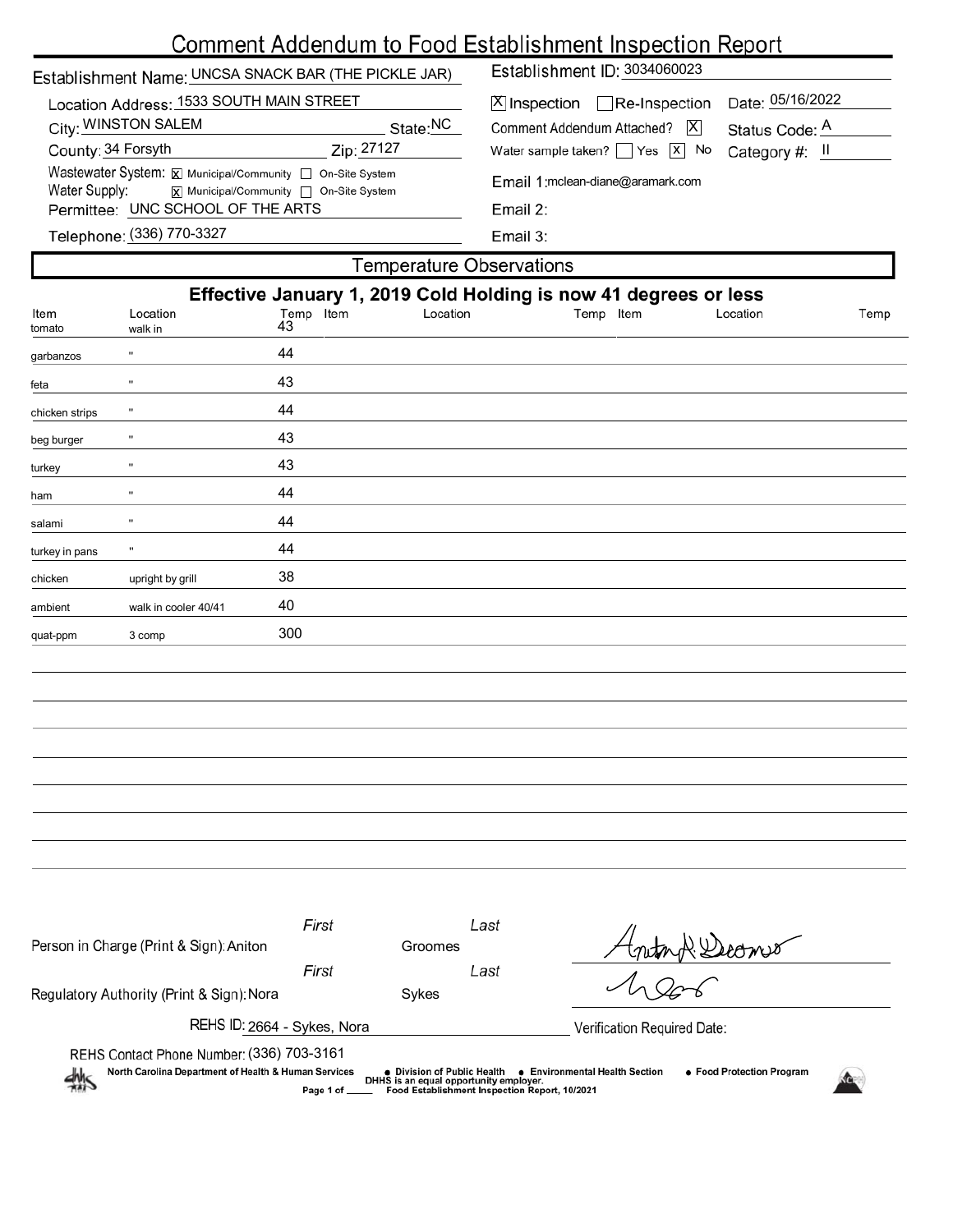# Comment Addendum to Food Establishment Inspection Report

| Establishment Name: UNCSA SNACK BAR (THE PICKLE JAR)                                                                                                       |                     |                 |                                | Establishment ID: 3034060023                                     |                  |  |  |  |
|------------------------------------------------------------------------------------------------------------------------------------------------------------|---------------------|-----------------|--------------------------------|------------------------------------------------------------------|------------------|--|--|--|
| Location Address: 1533 SOUTH MAIN STREET                                                                                                                   |                     |                 |                                | Date: 05/16/2022<br>$X$ Inspection Re-Inspection                 |                  |  |  |  |
| City: WINSTON SALEM<br>State:NC<br>Zip: 27127<br>County: 34 Forsyth                                                                                        |                     |                 | Comment Addendum Attached?   X | Status Code: A                                                   |                  |  |  |  |
|                                                                                                                                                            |                     |                 |                                | Water sample taken? $\sqrt{ }$ Yes $\sqrt{x}$ No                 | Category #: II   |  |  |  |
| Wastewater System: X Municipal/Community non-Site System<br>Water Supply:<br> x  Municipal/Community   On-Site System<br>Permittee: UNC SCHOOL OF THE ARTS |                     |                 |                                | Email 1: mclean-diane@aramark.com<br>Email 2:                    |                  |  |  |  |
|                                                                                                                                                            |                     |                 |                                |                                                                  |                  |  |  |  |
|                                                                                                                                                            |                     |                 |                                | <b>Temperature Observations</b>                                  |                  |  |  |  |
|                                                                                                                                                            |                     |                 |                                | Effective January 1, 2019 Cold Holding is now 41 degrees or less |                  |  |  |  |
| Item<br>tomato                                                                                                                                             | Location<br>walk in | Temp Item<br>43 | Location                       | Temp Item                                                        | Location<br>Temp |  |  |  |
| garbanzos                                                                                                                                                  | $\mathbf{u}$        | 44              |                                |                                                                  |                  |  |  |  |
| feta                                                                                                                                                       | $\mathbf{u}$        | 43              |                                |                                                                  |                  |  |  |  |
| chicken strips                                                                                                                                             |                     | 44              |                                |                                                                  |                  |  |  |  |
| beg burger                                                                                                                                                 | $\mathbf{u}$        | 43              |                                |                                                                  |                  |  |  |  |
| turkey                                                                                                                                                     | $\mathbf{u}$        | 43              |                                |                                                                  |                  |  |  |  |
| ham                                                                                                                                                        | $\mathbf{u}$        | 44              |                                |                                                                  |                  |  |  |  |
| salami                                                                                                                                                     | $\mathbf{u}$        | 44              |                                |                                                                  |                  |  |  |  |
| turkey in pans                                                                                                                                             | $\mathbf{H}$        | 44              |                                |                                                                  |                  |  |  |  |

chicken upright by grill 38 ambient walk in cooler 40/41 40 quat-ppm 3 comp 300

| Person in Charge (Print & Sign): Aniton                                                                                                                                                                                                                                                                                          | First | Groomes | Last | Anton R Decomer             |  |  |
|----------------------------------------------------------------------------------------------------------------------------------------------------------------------------------------------------------------------------------------------------------------------------------------------------------------------------------|-------|---------|------|-----------------------------|--|--|
| Regulatory Authority (Print & Sign): Nora                                                                                                                                                                                                                                                                                        | First | Sykes   | Last |                             |  |  |
| REHS ID: 2664 - Sykes, Nora                                                                                                                                                                                                                                                                                                      |       |         |      | Verification Required Date: |  |  |
| REHS Contact Phone Number: (336) 703-3161<br>North Carolina Department of Health & Human Services<br>• Food Protection Program<br><b>Environmental Health Section</b><br>$\bullet\,$ Division of Public Health $\,$<br>煞<br>DHHS is an equal opportunity employer.<br>Page 1 of<br>Food Establishment Inspection Report, 10/2021 |       |         |      |                             |  |  |